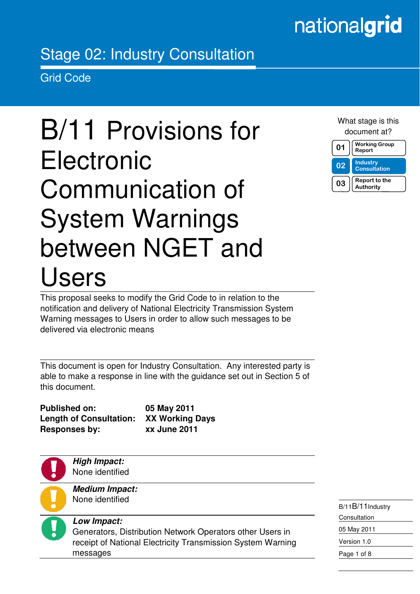## nationalgrid

### Stage 02: Industry Consultation

Grid Code

in the contract of the contract of the contract of the contract of the contract of the contract of the contract of the contract of the contract of the contract of the contract of the contract of the contract of the contrac

# B/11 Provisions for **Electronic** Communication of System Warnings between NGET and Users

What stage is this document at?



This proposal seeks to modify the Grid Code to in relation to the notification and delivery of National Electricity Transmission System Warning messages to Users in order to allow such messages to be delivered via electronic means

This document is open for Industry Consultation. Any interested party is able to make a response in line with the guidance set out in Section 5 of this document.

**Published on: 05 May 2011 Length of Consultation: XX Working Days Responses by: xx June 2011** 

**High Impact:**  None identified

**Medium Impact:**  None identified



#### **Low Impact:**

Generators, Distribution Network Operators other Users in receipt of National Electricity Transmission System Warning messages

B/11B/11Industry Consultation 05 May 2011 Version 1.0 Page 1 of 8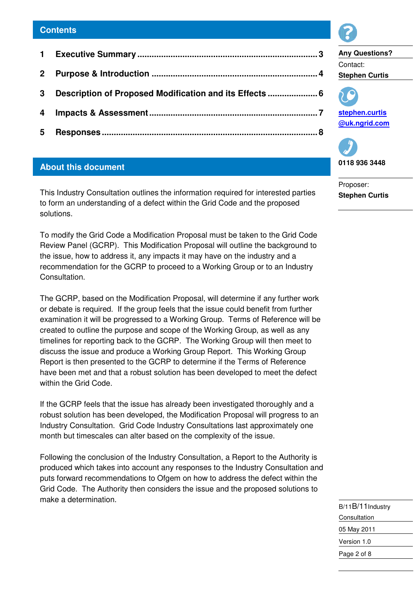| 3 <sup>1</sup> | Description of Proposed Modification and its Effects  6 |  |
|----------------|---------------------------------------------------------|--|
|                |                                                         |  |
| 5 <sub>5</sub> |                                                         |  |
|                |                                                         |  |

#### **About this document**

This Industry Consultation outlines the information required for interested parties to form an understanding of a defect within the Grid Code and the proposed solutions.

To modify the Grid Code a Modification Proposal must be taken to the Grid Code Review Panel (GCRP). This Modification Proposal will outline the background to the issue, how to address it, any impacts it may have on the industry and a recommendation for the GCRP to proceed to a Working Group or to an Industry Consultation.

The GCRP, based on the Modification Proposal, will determine if any further work or debate is required. If the group feels that the issue could benefit from further examination it will be progressed to a Working Group. Terms of Reference will be created to outline the purpose and scope of the Working Group, as well as any timelines for reporting back to the GCRP. The Working Group will then meet to discuss the issue and produce a Working Group Report. This Working Group Report is then presented to the GCRP to determine if the Terms of Reference have been met and that a robust solution has been developed to meet the defect within the Grid Code.

If the GCRP feels that the issue has already been investigated thoroughly and a robust solution has been developed, the Modification Proposal will progress to an Industry Consultation. Grid Code Industry Consultations last approximately one month but timescales can alter based on the complexity of the issue.

Following the conclusion of the Industry Consultation, a Report to the Authority is produced which takes into account any responses to the Industry Consultation and puts forward recommendations to Ofgem on how to address the defect within the Grid Code. The Authority then considers the issue and the proposed solutions to make a determination.





**stephen.curtis @uk.ngrid.com**



Proposer: **Stephen Curtis** 

| B/11B/11Industry |
|------------------|
| Consultation     |
| 05 May 2011      |
| Version 1.0      |
| Page 2 of 8      |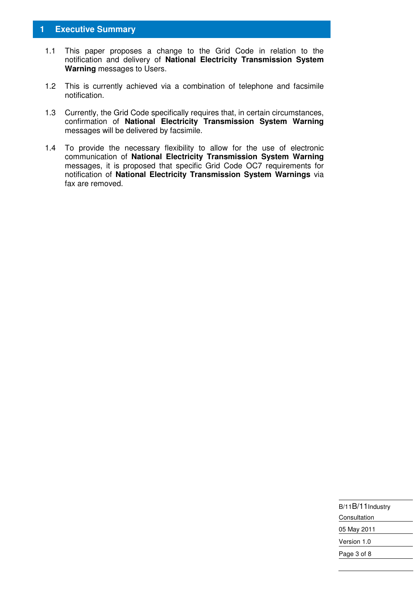#### **1 Executive Summary**

- 1.1 This paper proposes a change to the Grid Code in relation to the notification and delivery of **National Electricity Transmission System Warning** messages to Users.
- 1.2 This is currently achieved via a combination of telephone and facsimile notification.
- 1.3 Currently, the Grid Code specifically requires that, in certain circumstances, confirmation of **National Electricity Transmission System Warning** messages will be delivered by facsimile.
- 1.4 To provide the necessary flexibility to allow for the use of electronic communication of **National Electricity Transmission System Warning** messages, it is proposed that specific Grid Code OC7 requirements for notification of **National Electricity Transmission System Warnings** via fax are removed.

| B/11B/11Industry |
|------------------|
| Consultation     |
| 05 May 2011      |
| Version 1.0      |
| Page 3 of 8      |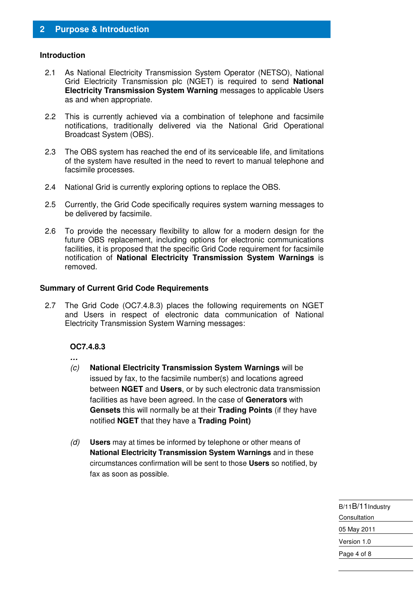#### **Introduction**

- 2.1 As National Electricity Transmission System Operator (NETSO), National Grid Electricity Transmission plc (NGET) is required to send **National Electricity Transmission System Warning** messages to applicable Users as and when appropriate.
- 2.2 This is currently achieved via a combination of telephone and facsimile notifications, traditionally delivered via the National Grid Operational Broadcast System (OBS).
- 2.3 The OBS system has reached the end of its serviceable life, and limitations of the system have resulted in the need to revert to manual telephone and facsimile processes.
- 2.4 National Grid is currently exploring options to replace the OBS.
- 2.5 Currently, the Grid Code specifically requires system warning messages to be delivered by facsimile.
- 2.6 To provide the necessary flexibility to allow for a modern design for the future OBS replacement, including options for electronic communications facilities, it is proposed that the specific Grid Code requirement for facsimile notification of **National Electricity Transmission System Warnings** is removed.

#### **Summary of Current Grid Code Requirements**

2.7 The Grid Code (OC7.4.8.3) places the following requirements on NGET and Users in respect of electronic data communication of National Electricity Transmission System Warning messages:

#### **OC7.4.8.3**

- **…**
- (c) **National Electricity Transmission System Warnings** will be issued by fax, to the facsimile number(s) and locations agreed between **NGET** and **Users**, or by such electronic data transmission facilities as have been agreed. In the case of **Generators** with **Gensets** this will normally be at their **Trading Points** (if they have notified **NGET** that they have a **Trading Point)**
- (d) **Users** may at times be informed by telephone or other means of **National Electricity Transmission System Warnings** and in these circumstances confirmation will be sent to those **Users** so notified, by fax as soon as possible.

| B/11B/11Industry |
|------------------|
| Consultation     |
| 05 May 2011      |
| Version 1.0      |
| Page 4 of 8      |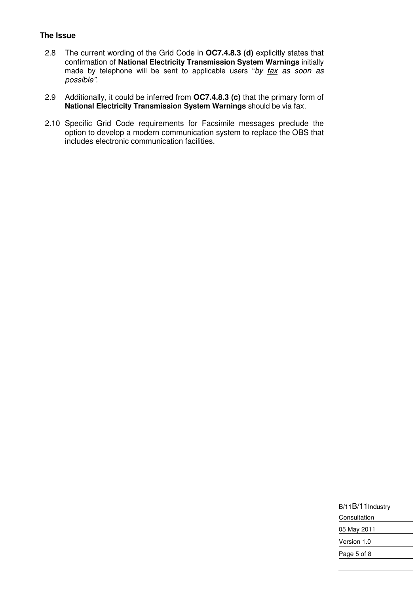#### **The Issue**

- 2.8 The current wording of the Grid Code in **OC7.4.8.3 (d)** explicitly states that confirmation of **National Electricity Transmission System Warnings** initially made by telephone will be sent to applicable users "by fax as soon as possible".
- 2.9 Additionally, it could be inferred from **OC7.4.8.3 (c)** that the primary form of **National Electricity Transmission System Warnings** should be via fax.
- 2.10 Specific Grid Code requirements for Facsimile messages preclude the option to develop a modern communication system to replace the OBS that includes electronic communication facilities.

| B/11B/11Industry |
|------------------|
| Consultation     |
| 05 May 2011      |
| Version 1.0      |
| Page 5 of 8      |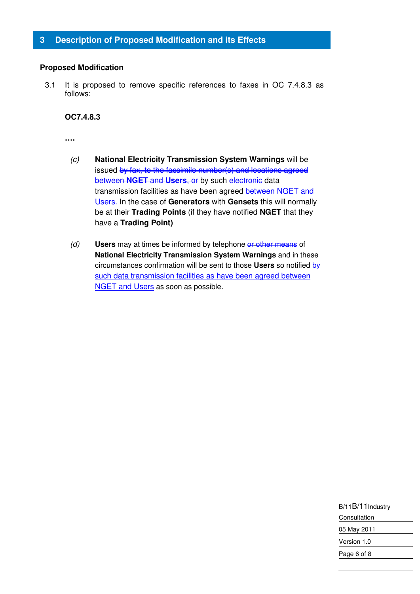#### **Proposed Modification**

3.1 It is proposed to remove specific references to faxes in OC 7.4.8.3 as follows:

#### **OC7.4.8.3**

**….** 

- (c) **National Electricity Transmission System Warnings** will be issued by fax, to the facsimile number(s) and locations agreed **between NGET and Users, or** by such electronic data transmission facilities as have been agreed between NGET and Users. In the case of **Generators** with **Gensets** this will normally be at their **Trading Points** (if they have notified **NGET** that they have a **Trading Point)**
- (d) **Users** may at times be informed by telephone or other means of **National Electricity Transmission System Warnings** and in these circumstances confirmation will be sent to those **Users** so notified by such data transmission facilities as have been agreed between **NGET and Users as soon as possible.**

| B/11B/11Industry |
|------------------|
| Consultation     |
| 05 May 2011      |
| Version 1.0      |
| Page 6 of 8      |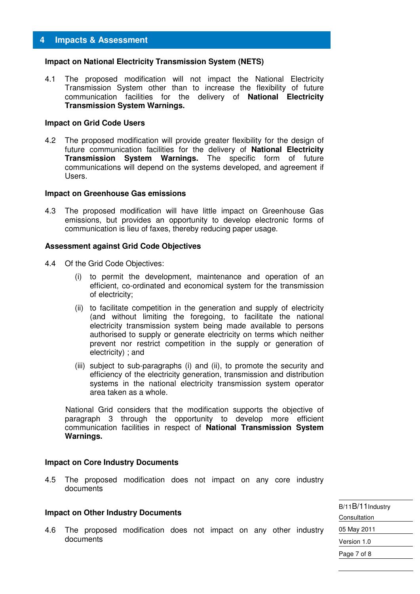#### **Impact on National Electricity Transmission System (NETS)**

4.1 The proposed modification will not impact the National Electricity Transmission System other than to increase the flexibility of future communication facilities for the delivery of **National Electricity Transmission System Warnings.** 

#### **Impact on Grid Code Users**

4.2 The proposed modification will provide greater flexibility for the design of future communication facilities for the delivery of **National Electricity Transmission System Warnings.** The specific form of future communications will depend on the systems developed, and agreement if Users.

#### **Impact on Greenhouse Gas emissions**

4.3 The proposed modification will have little impact on Greenhouse Gas emissions, but provides an opportunity to develop electronic forms of communication is lieu of faxes, thereby reducing paper usage.

#### **Assessment against Grid Code Objectives**

- 4.4 Of the Grid Code Objectives:
	- (i) to permit the development, maintenance and operation of an efficient, co-ordinated and economical system for the transmission of electricity;
	- (ii) to facilitate competition in the generation and supply of electricity (and without limiting the foregoing, to facilitate the national electricity transmission system being made available to persons authorised to supply or generate electricity on terms which neither prevent nor restrict competition in the supply or generation of electricity) ; and
	- (iii) subject to sub-paragraphs (i) and (ii), to promote the security and efficiency of the electricity generation, transmission and distribution systems in the national electricity transmission system operator area taken as a whole.

National Grid considers that the modification supports the objective of paragraph 3 through the opportunity to develop more efficient communication facilities in respect of **National Transmission System Warnings.** 

#### **Impact on Core Industry Documents**

4.5 The proposed modification does not impact on any core industry documents

#### **Impact on Other Industry Documents**

4.6 The proposed modification does not impact on any other industry documents

B/11B/11Industry **Consultation** 05 May 2011 Version 1.0 Page 7 of 8